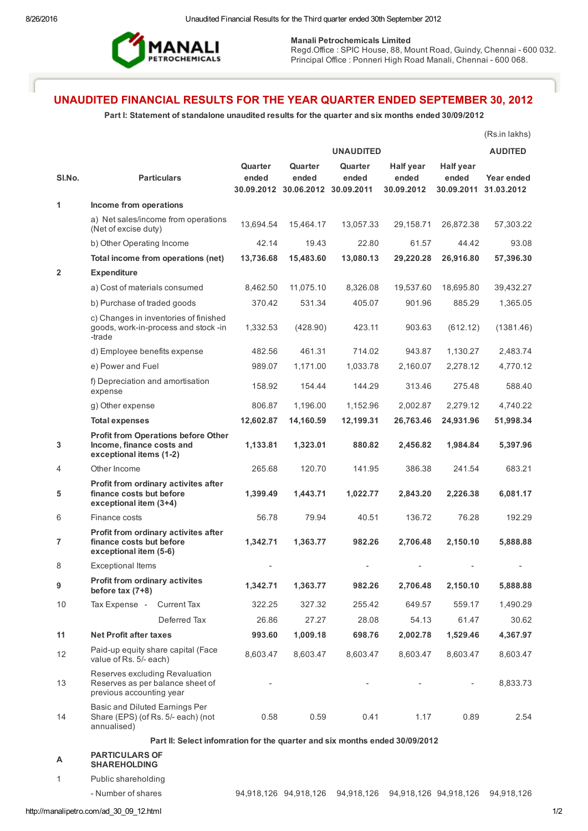

Manali Petrochemicals Limited

Regd.Office: SPIC House, 88, Mount Road, Guindy, Chennai - 600 032. Principal Office : Ponneri High Road Manali, Chennai - 600 068.

# UNAUDITED FINANCIAL RESULTS FOR THE YEAR QUARTER ENDED SEPTEMBER 30, 2012

Part I: Statement of standalone unaudited results for the quarter and six months ended 30/09/2012

|                |                                                                                                    |                  |                                                      |                  |                                         |                                         | (Rs.in lakhs)            |
|----------------|----------------------------------------------------------------------------------------------------|------------------|------------------------------------------------------|------------------|-----------------------------------------|-----------------------------------------|--------------------------|
|                |                                                                                                    | <b>UNAUDITED</b> |                                                      |                  |                                         |                                         | <b>AUDITED</b>           |
| SI.No.         | <b>Particulars</b>                                                                                 | Quarter<br>ended | Quarter<br>ended<br>30.09.2012 30.06.2012 30.09.2011 | Quarter<br>ended | <b>Half year</b><br>ended<br>30.09.2012 | <b>Half year</b><br>ended<br>30.09.2011 | Year ended<br>31.03.2012 |
|                |                                                                                                    |                  |                                                      |                  |                                         |                                         |                          |
| 1              | Income from operations<br>a) Net sales/income from operations                                      |                  |                                                      |                  |                                         |                                         |                          |
|                | (Net of excise duty)                                                                               | 13,694.54        | 15,464.17                                            | 13,057.33        | 29,158.71                               | 26,872.38                               | 57,303.22                |
|                | b) Other Operating Income                                                                          | 42.14            | 19.43                                                | 22.80            | 61.57                                   | 44.42                                   | 93.08                    |
|                | Total income from operations (net)                                                                 | 13,736.68        | 15,483.60                                            | 13,080.13        | 29,220.28                               | 26,916.80                               | 57,396.30                |
| $\overline{2}$ | <b>Expenditure</b>                                                                                 |                  |                                                      |                  |                                         |                                         |                          |
|                | a) Cost of materials consumed                                                                      | 8,462.50         | 11,075.10                                            | 8,326.08         | 19,537.60                               | 18,695.80                               | 39,432.27                |
|                | b) Purchase of traded goods                                                                        | 370.42           | 531.34                                               | 405.07           | 901.96                                  | 885.29                                  | 1,365.05                 |
|                | c) Changes in inventories of finished<br>goods, work-in-process and stock -in<br>-trade            | 1,332.53         | (428.90)                                             | 423.11           | 903.63                                  | (612.12)                                | (1381.46)                |
|                | d) Employee benefits expense                                                                       | 482.56           | 461.31                                               | 714.02           | 943.87                                  | 1,130.27                                | 2,483.74                 |
|                | e) Power and Fuel                                                                                  | 989.07           | 1,171.00                                             | 1,033.78         | 2,160.07                                | 2,278.12                                | 4,770.12                 |
|                | f) Depreciation and amortisation<br>expense                                                        | 158.92           | 154.44                                               | 144.29           | 313.46                                  | 275.48                                  | 588.40                   |
|                | g) Other expense                                                                                   | 806.87           | 1,196.00                                             | 1,152.96         | 2,002.87                                | 2,279.12                                | 4,740.22                 |
|                | <b>Total expenses</b>                                                                              | 12,602.87        | 14,160.59                                            | 12,199.31        | 26,763.46                               | 24,931.96                               | 51,998.34                |
| 3              | <b>Profit from Operations before Other</b><br>Income, finance costs and<br>exceptional items (1-2) | 1,133.81         | 1,323.01                                             | 880.82           | 2,456.82                                | 1,984.84                                | 5,397.96                 |
| 4              | Other Income                                                                                       | 265.68           | 120.70                                               | 141.95           | 386.38                                  | 241.54                                  | 683.21                   |
| 5              | Profit from ordinary activites after<br>finance costs but before<br>exceptional item (3+4)         | 1,399.49         | 1,443.71                                             | 1,022.77         | 2,843.20                                | 2,226.38                                | 6,081.17                 |
| 6              | Finance costs                                                                                      | 56.78            | 79.94                                                | 40.51            | 136.72                                  | 76.28                                   | 192.29                   |
| 7              | Profit from ordinary activites after<br>finance costs but before<br>exceptional item (5-6)         | 1,342.71         | 1,363.77                                             | 982.26           | 2,706.48                                | 2,150.10                                | 5,888.88                 |
| 8              | <b>Exceptional Items</b>                                                                           |                  |                                                      |                  |                                         |                                         |                          |
| 9              | <b>Profit from ordinary activites</b><br>before tax $(7+8)$                                        | 1,342.71         | 1,363.77                                             | 982.26           | 2,706.48                                | 2,150.10                                | 5,888.88                 |
| 10             | <b>Current Tax</b><br>Tax Expense -                                                                | 322.25           | 327.32                                               | 255.42           | 649.57                                  | 559.17                                  | 1,490.29                 |
|                | Deferred Tax                                                                                       | 26.86            | 27.27                                                | 28.08            | 54.13                                   | 61.47                                   | 30.62                    |
| 11             | <b>Net Profit after taxes</b>                                                                      | 993.60           | 1,009.18                                             | 698.76           | 2,002.78                                | 1,529.46                                | 4,367.97                 |
| 12             | Paid-up equity share capital (Face<br>value of Rs. 5/- each)                                       | 8,603.47         | 8,603.47                                             | 8,603.47         | 8,603.47                                | 8,603.47                                | 8,603.47                 |
| 13             | Reserves excluding Revaluation<br>Reserves as per balance sheet of<br>previous accounting year     |                  |                                                      |                  |                                         | $\overline{\phantom{a}}$                | 8,833.73                 |
| 14             | Basic and Diluted Earnings Per<br>Share (EPS) (of Rs. 5/- each) (not<br>annualised)                | 0.58             | 0.59                                                 | 0.41             | 1.17                                    | 0.89                                    | 2.54                     |
|                | Part II: Select infomration for the quarter and six months ended 30/09/2012                        |                  |                                                      |                  |                                         |                                         |                          |
| A              | <b>PARTICULARS OF</b><br><b>SHAREHOLDING</b>                                                       |                  |                                                      |                  |                                         |                                         |                          |

1 Public shareholding